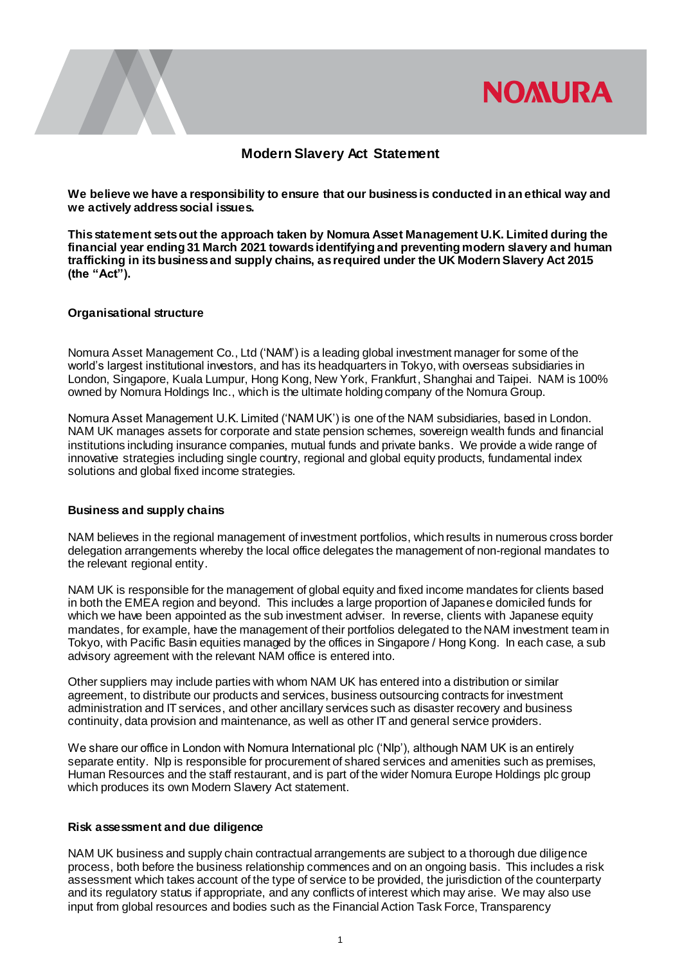

# **Modern Slavery Act Statement**

**We believe we have a responsibility to ensure that our business is conducted in an ethical way and we actively address social issues.** 

**This statement sets out the approach taken by Nomura Asset Management U.K. Limited during the financial year ending 31 March 2021 towards identifying and preventing modern slavery and human trafficking in its business and supply chains, as required under the UK Modern Slavery Act 2015 (the "Act").**

## **Organisational structure**

Nomura Asset Management Co., Ltd ('NAM') is a leading global investment manager for some of the world's largest institutional investors, and has its headquarters in Tokyo, with overseas subsidiaries in London, Singapore, Kuala Lumpur, Hong Kong, New York, Frankfurt, Shanghai and Taipei. NAM is 100% owned by Nomura Holdings Inc., which is the ultimate holding company of the Nomura Group.

Nomura Asset Management U.K. Limited ('NAM UK') is one of the NAM subsidiaries, based in London. NAM UK manages assets for corporate and state pension schemes, sovereign wealth funds and financial institutions including insurance companies, mutual funds and private banks. We provide a wide range of innovative strategies including single country, regional and global equity products, fundamental index solutions and global fixed income strategies.

#### **Business and supply chains**

NAM believes in the regional management of investment portfolios, which results in numerous cross border delegation arrangements whereby the local office delegates the management of non-regional mandates to the relevant regional entity.

NAM UK is responsible for the management of global equity and fixed income mandates for clients based in both the EMEA region and beyond. This includes a large proportion of Japanese domiciled funds for which we have been appointed as the sub investment adviser. In reverse, clients with Japanese equity mandates, for example, have the management of their portfolios delegated to the NAM investment team in Tokyo, with Pacific Basin equities managed by the offices in Singapore / Hong Kong. In each case, a sub advisory agreement with the relevant NAM office is entered into.

Other suppliers may include parties with whom NAM UK has entered into a distribution or similar agreement, to distribute our products and services, business outsourcing contracts for investment administration and IT services, and other ancillary services such as disaster recovery and business continuity, data provision and maintenance, as well as other IT and general service providers.

We share our office in London with Nomura International plc ('NIp'), although NAM UK is an entirely separate entity. NIp is responsible for procurement of shared services and amenities such as premises, Human Resources and the staff restaurant, and is part of the wider Nomura Europe Holdings plc group which produces its own Modern Slavery Act statement.

## **Risk assessment and due diligence**

NAM UK business and supply chain contractual arrangements are subject to a thorough due diligence process, both before the business relationship commences and on an ongoing basis. This includes a risk assessment which takes account of the type of service to be provided, the jurisdiction of the counterparty and its regulatory status if appropriate, and any conflicts of interest which may arise. We may also use input from global resources and bodies such as the Financial Action Task Force, Transparency